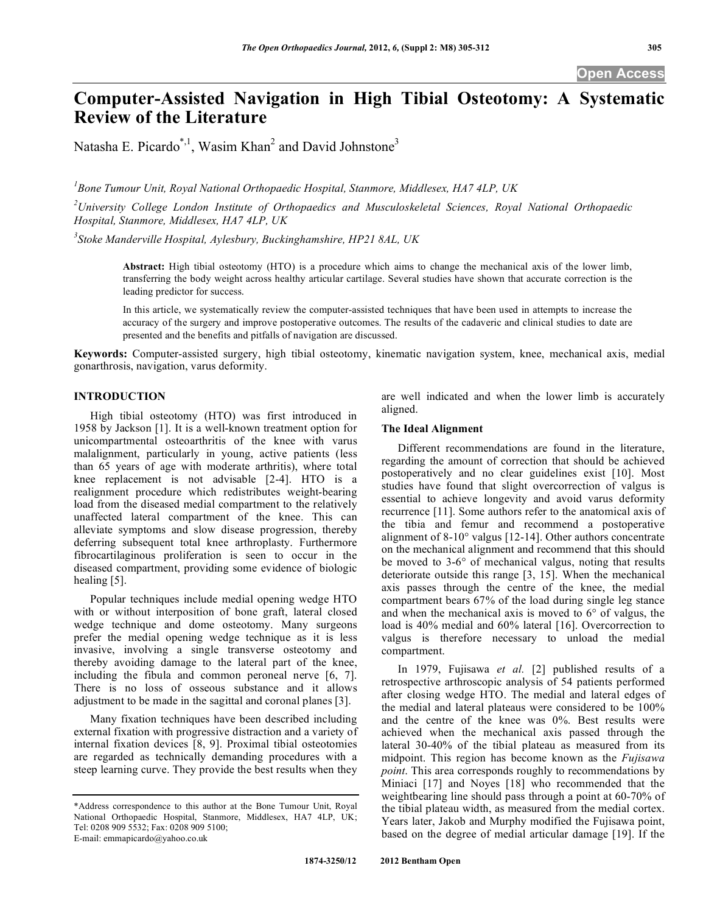# **Computer-Assisted Navigation in High Tibial Osteotomy: A Systematic Review of the Literature**

Natasha E. Picardo\*,<sup>1</sup>, Wasim Khan<sup>2</sup> and David Johnstone<sup>3</sup>

*1 Bone Tumour Unit, Royal National Orthopaedic Hospital, Stanmore, Middlesex, HA7 4LP, UK* 

*2 University College London Institute of Orthopaedics and Musculoskeletal Sciences, Royal National Orthopaedic Hospital, Stanmore, Middlesex, HA7 4LP, UK* 

*3 Stoke Manderville Hospital, Aylesbury, Buckinghamshire, HP21 8AL, UK* 

**Abstract:** High tibial osteotomy (HTO) is a procedure which aims to change the mechanical axis of the lower limb, transferring the body weight across healthy articular cartilage. Several studies have shown that accurate correction is the leading predictor for success.

In this article, we systematically review the computer-assisted techniques that have been used in attempts to increase the accuracy of the surgery and improve postoperative outcomes. The results of the cadaveric and clinical studies to date are presented and the benefits and pitfalls of navigation are discussed.

**Keywords:** Computer-assisted surgery, high tibial osteotomy, kinematic navigation system, knee, mechanical axis, medial gonarthrosis, navigation, varus deformity.

# **INTRODUCTION**

 High tibial osteotomy (HTO) was first introduced in 1958 by Jackson [1]. It is a well-known treatment option for unicompartmental osteoarthritis of the knee with varus malalignment, particularly in young, active patients (less than 65 years of age with moderate arthritis), where total knee replacement is not advisable [2-4]. HTO is a realignment procedure which redistributes weight-bearing load from the diseased medial compartment to the relatively unaffected lateral compartment of the knee. This can alleviate symptoms and slow disease progression, thereby deferring subsequent total knee arthroplasty. Furthermore fibrocartilaginous proliferation is seen to occur in the diseased compartment, providing some evidence of biologic healing [5].

 Popular techniques include medial opening wedge HTO with or without interposition of bone graft, lateral closed wedge technique and dome osteotomy. Many surgeons prefer the medial opening wedge technique as it is less invasive, involving a single transverse osteotomy and thereby avoiding damage to the lateral part of the knee, including the fibula and common peroneal nerve [6, 7]. There is no loss of osseous substance and it allows adjustment to be made in the sagittal and coronal planes [3].

 Many fixation techniques have been described including external fixation with progressive distraction and a variety of internal fixation devices [8, 9]. Proximal tibial osteotomies are regarded as technically demanding procedures with a steep learning curve. They provide the best results when they

are well indicated and when the lower limb is accurately aligned.

## **The Ideal Alignment**

 Different recommendations are found in the literature, regarding the amount of correction that should be achieved postoperatively and no clear guidelines exist [10]. Most studies have found that slight overcorrection of valgus is essential to achieve longevity and avoid varus deformity recurrence [11]. Some authors refer to the anatomical axis of the tibia and femur and recommend a postoperative alignment of 8-10° valgus [12-14]. Other authors concentrate on the mechanical alignment and recommend that this should be moved to 3-6° of mechanical valgus, noting that results deteriorate outside this range [3, 15]. When the mechanical axis passes through the centre of the knee, the medial compartment bears 67% of the load during single leg stance and when the mechanical axis is moved to 6° of valgus, the load is 40% medial and 60% lateral [16]. Overcorrection to valgus is therefore necessary to unload the medial compartment.

 In 1979, Fujisawa *et al.* [2] published results of a retrospective arthroscopic analysis of 54 patients performed after closing wedge HTO. The medial and lateral edges of the medial and lateral plateaus were considered to be 100% and the centre of the knee was 0%. Best results were achieved when the mechanical axis passed through the lateral 30-40% of the tibial plateau as measured from its midpoint. This region has become known as the *Fujisawa point*. This area corresponds roughly to recommendations by Miniaci [17] and Noyes [18] who recommended that the weightbearing line should pass through a point at 60-70% of the tibial plateau width, as measured from the medial cortex. Years later, Jakob and Murphy modified the Fujisawa point, based on the degree of medial articular damage [19]. If the

<sup>\*</sup>Address correspondence to this author at the Bone Tumour Unit, Royal National Orthopaedic Hospital, Stanmore, Middlesex, HA7 4LP, UK; Tel: 0208 909 5532; Fax: 0208 909 5100; E-mail: emmapicardo@yahoo.co.uk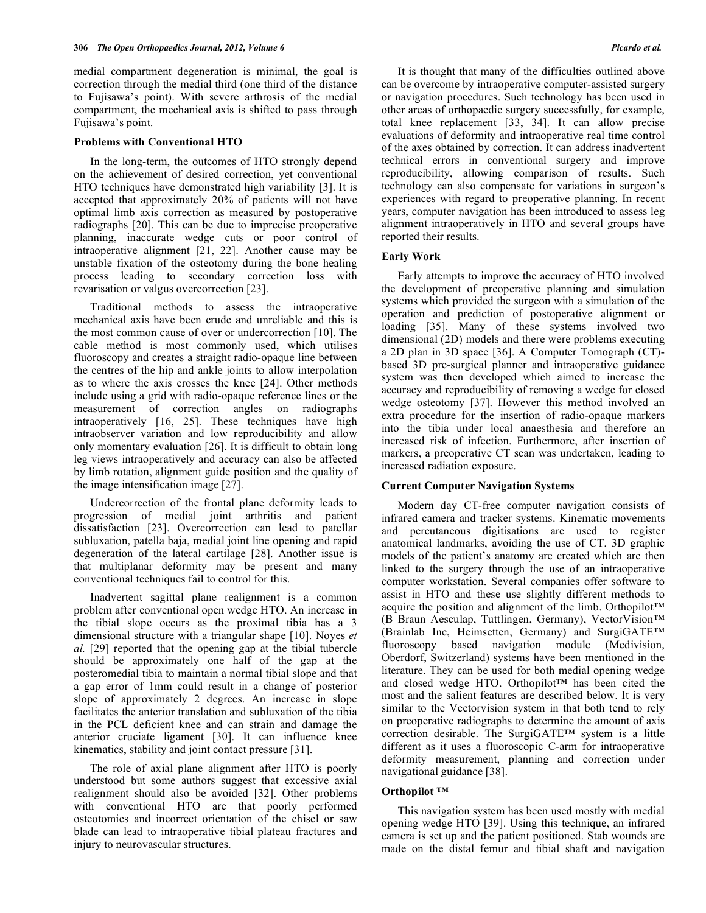medial compartment degeneration is minimal, the goal is correction through the medial third (one third of the distance to Fujisawa's point). With severe arthrosis of the medial compartment, the mechanical axis is shifted to pass through Fujisawa's point.

## **Problems with Conventional HTO**

 In the long-term, the outcomes of HTO strongly depend on the achievement of desired correction, yet conventional HTO techniques have demonstrated high variability [3]. It is accepted that approximately 20% of patients will not have optimal limb axis correction as measured by postoperative radiographs [20]. This can be due to imprecise preoperative planning, inaccurate wedge cuts or poor control of intraoperative alignment [21, 22]. Another cause may be unstable fixation of the osteotomy during the bone healing process leading to secondary correction loss with revarisation or valgus overcorrection [23].

 Traditional methods to assess the intraoperative mechanical axis have been crude and unreliable and this is the most common cause of over or undercorrection [10]. The cable method is most commonly used, which utilises fluoroscopy and creates a straight radio-opaque line between the centres of the hip and ankle joints to allow interpolation as to where the axis crosses the knee [24]. Other methods include using a grid with radio-opaque reference lines or the measurement of correction angles on radiographs intraoperatively [16, 25]. These techniques have high intraobserver variation and low reproducibility and allow only momentary evaluation [26]. It is difficult to obtain long leg views intraoperatively and accuracy can also be affected by limb rotation, alignment guide position and the quality of the image intensification image [27].

 Undercorrection of the frontal plane deformity leads to progression of medial joint arthritis and patient dissatisfaction [23]. Overcorrection can lead to patellar subluxation, patella baja, medial joint line opening and rapid degeneration of the lateral cartilage [28]. Another issue is that multiplanar deformity may be present and many conventional techniques fail to control for this.

 Inadvertent sagittal plane realignment is a common problem after conventional open wedge HTO. An increase in the tibial slope occurs as the proximal tibia has a 3 dimensional structure with a triangular shape [10]. Noyes *et al.* [29] reported that the opening gap at the tibial tubercle should be approximately one half of the gap at the posteromedial tibia to maintain a normal tibial slope and that a gap error of 1mm could result in a change of posterior slope of approximately 2 degrees. An increase in slope facilitates the anterior translation and subluxation of the tibia in the PCL deficient knee and can strain and damage the anterior cruciate ligament [30]. It can influence knee kinematics, stability and joint contact pressure [31].

 The role of axial plane alignment after HTO is poorly understood but some authors suggest that excessive axial realignment should also be avoided [32]. Other problems with conventional HTO are that poorly performed osteotomies and incorrect orientation of the chisel or saw blade can lead to intraoperative tibial plateau fractures and injury to neurovascular structures.

 It is thought that many of the difficulties outlined above can be overcome by intraoperative computer-assisted surgery or navigation procedures. Such technology has been used in other areas of orthopaedic surgery successfully, for example, total knee replacement [33, 34]. It can allow precise evaluations of deformity and intraoperative real time control of the axes obtained by correction. It can address inadvertent technical errors in conventional surgery and improve reproducibility, allowing comparison of results. Such technology can also compensate for variations in surgeon's experiences with regard to preoperative planning. In recent years, computer navigation has been introduced to assess leg alignment intraoperatively in HTO and several groups have reported their results.

### **Early Work**

 Early attempts to improve the accuracy of HTO involved the development of preoperative planning and simulation systems which provided the surgeon with a simulation of the operation and prediction of postoperative alignment or loading [35]. Many of these systems involved two dimensional (2D) models and there were problems executing a 2D plan in 3D space [36]. A Computer Tomograph (CT) based 3D pre-surgical planner and intraoperative guidance system was then developed which aimed to increase the accuracy and reproducibility of removing a wedge for closed wedge osteotomy [37]. However this method involved an extra procedure for the insertion of radio-opaque markers into the tibia under local anaesthesia and therefore an increased risk of infection. Furthermore, after insertion of markers, a preoperative CT scan was undertaken, leading to increased radiation exposure.

#### **Current Computer Navigation Systems**

 Modern day CT-free computer navigation consists of infrared camera and tracker systems. Kinematic movements and percutaneous digitisations are used to register anatomical landmarks, avoiding the use of CT. 3D graphic models of the patient's anatomy are created which are then linked to the surgery through the use of an intraoperative computer workstation. Several companies offer software to assist in HTO and these use slightly different methods to acquire the position and alignment of the limb. Orthopilot™ (B Braun Aesculap, Tuttlingen, Germany), VectorVision™ (Brainlab Inc, Heimsetten, Germany) and SurgiGATE™ fluoroscopy based navigation module (Medivision, Oberdorf, Switzerland) systems have been mentioned in the literature. They can be used for both medial opening wedge and closed wedge HTO. Orthopilot™ has been cited the most and the salient features are described below. It is very similar to the Vectorvision system in that both tend to rely on preoperative radiographs to determine the amount of axis correction desirable. The SurgiGATE™ system is a little different as it uses a fluoroscopic C-arm for intraoperative deformity measurement, planning and correction under navigational guidance [38].

## **Orthopilot ™**

 This navigation system has been used mostly with medial opening wedge HTO [39]. Using this technique, an infrared camera is set up and the patient positioned. Stab wounds are made on the distal femur and tibial shaft and navigation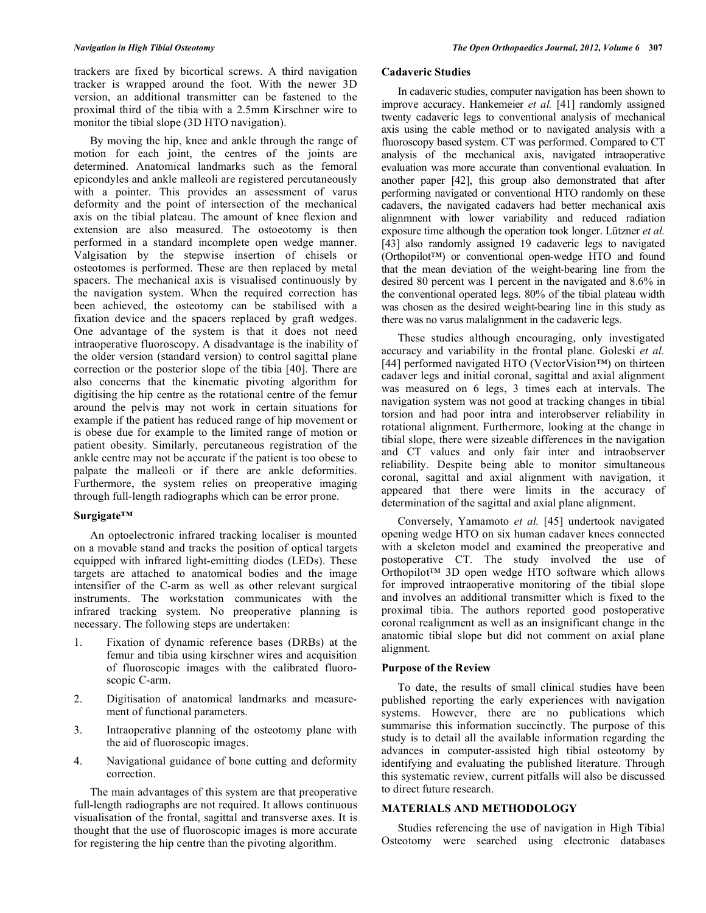trackers are fixed by bicortical screws. A third navigation tracker is wrapped around the foot. With the newer 3D version, an additional transmitter can be fastened to the proximal third of the tibia with a 2.5mm Kirschner wire to monitor the tibial slope (3D HTO navigation).

 By moving the hip, knee and ankle through the range of motion for each joint, the centres of the joints are determined. Anatomical landmarks such as the femoral epicondyles and ankle malleoli are registered percutaneously with a pointer. This provides an assessment of varus deformity and the point of intersection of the mechanical axis on the tibial plateau. The amount of knee flexion and extension are also measured. The ostoeotomy is then performed in a standard incomplete open wedge manner. Valgisation by the stepwise insertion of chisels or osteotomes is performed. These are then replaced by metal spacers. The mechanical axis is visualised continuously by the navigation system. When the required correction has been achieved, the osteotomy can be stabilised with a fixation device and the spacers replaced by graft wedges. One advantage of the system is that it does not need intraoperative fluoroscopy. A disadvantage is the inability of the older version (standard version) to control sagittal plane correction or the posterior slope of the tibia [40]. There are also concerns that the kinematic pivoting algorithm for digitising the hip centre as the rotational centre of the femur around the pelvis may not work in certain situations for example if the patient has reduced range of hip movement or is obese due for example to the limited range of motion or patient obesity. Similarly, percutaneous registration of the ankle centre may not be accurate if the patient is too obese to palpate the malleoli or if there are ankle deformities. Furthermore, the system relies on preoperative imaging through full-length radiographs which can be error prone.

# **Surgigate™**

 An optoelectronic infrared tracking localiser is mounted on a movable stand and tracks the position of optical targets equipped with infrared light-emitting diodes (LEDs). These targets are attached to anatomical bodies and the image intensifier of the C-arm as well as other relevant surgical instruments. The workstation communicates with the infrared tracking system. No preoperative planning is necessary. The following steps are undertaken:

- 1. Fixation of dynamic reference bases (DRBs) at the femur and tibia using kirschner wires and acquisition of fluoroscopic images with the calibrated fluoroscopic C-arm.
- 2. Digitisation of anatomical landmarks and measurement of functional parameters.
- 3. Intraoperative planning of the osteotomy plane with the aid of fluoroscopic images.
- 4. Navigational guidance of bone cutting and deformity correction.

 The main advantages of this system are that preoperative full-length radiographs are not required. It allows continuous visualisation of the frontal, sagittal and transverse axes. It is thought that the use of fluoroscopic images is more accurate for registering the hip centre than the pivoting algorithm.

# **Cadaveric Studies**

 In cadaveric studies, computer navigation has been shown to improve accuracy. Hankemeier *et al.* [41] randomly assigned twenty cadaveric legs to conventional analysis of mechanical axis using the cable method or to navigated analysis with a fluoroscopy based system. CT was performed. Compared to CT analysis of the mechanical axis, navigated intraoperative evaluation was more accurate than conventional evaluation. In another paper [42], this group also demonstrated that after performing navigated or conventional HTO randomly on these cadavers, the navigated cadavers had better mechanical axis alignmnent with lower variability and reduced radiation exposure time although the operation took longer. Lützner *et al.*  [43] also randomly assigned 19 cadaveric legs to navigated (Orthopilot™) or conventional open-wedge HTO and found that the mean deviation of the weight-bearing line from the desired 80 percent was 1 percent in the navigated and 8.6% in the conventional operated legs. 80% of the tibial plateau width was chosen as the desired weight-bearing line in this study as there was no varus malalignment in the cadaveric legs.

 These studies although encouraging, only investigated accuracy and variability in the frontal plane. Goleski *et al.*  [44] performed navigated HTO (VectorVision™) on thirteen cadaver legs and initial coronal, sagittal and axial alignment was measured on 6 legs, 3 times each at intervals. The navigation system was not good at tracking changes in tibial torsion and had poor intra and interobserver reliability in rotational alignment. Furthermore, looking at the change in tibial slope, there were sizeable differences in the navigation and CT values and only fair inter and intraobserver reliability. Despite being able to monitor simultaneous coronal, sagittal and axial alignment with navigation, it appeared that there were limits in the accuracy of determination of the sagittal and axial plane alignment.

 Conversely, Yamamoto *et al.* [45] undertook navigated opening wedge HTO on six human cadaver knees connected with a skeleton model and examined the preoperative and postoperative CT. The study involved the use of Orthopilot™ 3D open wedge HTO software which allows for improved intraoperative monitoring of the tibial slope and involves an additional transmitter which is fixed to the proximal tibia. The authors reported good postoperative coronal realignment as well as an insignificant change in the anatomic tibial slope but did not comment on axial plane alignment.

# **Purpose of the Review**

 To date, the results of small clinical studies have been published reporting the early experiences with navigation systems. However, there are no publications which summarise this information succinctly. The purpose of this study is to detail all the available information regarding the advances in computer-assisted high tibial osteotomy by identifying and evaluating the published literature. Through this systematic review, current pitfalls will also be discussed to direct future research.

# **MATERIALS AND METHODOLOGY**

 Studies referencing the use of navigation in High Tibial Osteotomy were searched using electronic databases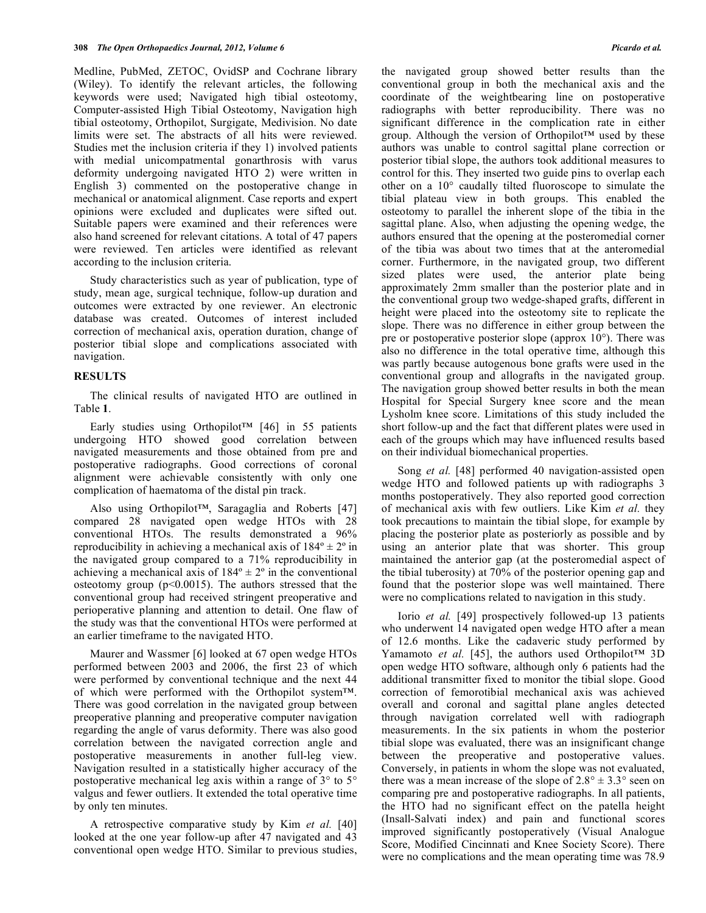Medline, PubMed, ZETOC, OvidSP and Cochrane library (Wiley). To identify the relevant articles, the following keywords were used; Navigated high tibial osteotomy, Computer-assisted High Tibial Osteotomy, Navigation high tibial osteotomy, Orthopilot, Surgigate, Medivision. No date limits were set. The abstracts of all hits were reviewed. Studies met the inclusion criteria if they 1) involved patients with medial unicompatmental gonarthrosis with varus deformity undergoing navigated HTO 2) were written in English 3) commented on the postoperative change in mechanical or anatomical alignment. Case reports and expert opinions were excluded and duplicates were sifted out. Suitable papers were examined and their references were also hand screened for relevant citations. A total of 47 papers were reviewed. Ten articles were identified as relevant according to the inclusion criteria.

 Study characteristics such as year of publication, type of study, mean age, surgical technique, follow-up duration and outcomes were extracted by one reviewer. An electronic database was created. Outcomes of interest included correction of mechanical axis, operation duration, change of posterior tibial slope and complications associated with navigation.

### **RESULTS**

 The clinical results of navigated HTO are outlined in Table **1**.

 Early studies using Orthopilot™ [46] in 55 patients undergoing HTO showed good correlation between navigated measurements and those obtained from pre and postoperative radiographs. Good corrections of coronal alignment were achievable consistently with only one complication of haematoma of the distal pin track.

 Also using Orthopilot™, Saragaglia and Roberts [47] compared 28 navigated open wedge HTOs with 28 conventional HTOs. The results demonstrated a 96% reproducibility in achieving a mechanical axis of  $184^\circ \pm 2^\circ$  in the navigated group compared to a 71% reproducibility in achieving a mechanical axis of  $184^\circ \pm 2^\circ$  in the conventional osteotomy group  $(p<0.0015)$ . The authors stressed that the conventional group had received stringent preoperative and perioperative planning and attention to detail. One flaw of the study was that the conventional HTOs were performed at an earlier timeframe to the navigated HTO.

 Maurer and Wassmer [6] looked at 67 open wedge HTOs performed between 2003 and 2006, the first 23 of which were performed by conventional technique and the next 44 of which were performed with the Orthopilot system™. There was good correlation in the navigated group between preoperative planning and preoperative computer navigation regarding the angle of varus deformity. There was also good correlation between the navigated correction angle and postoperative measurements in another full-leg view. Navigation resulted in a statistically higher accuracy of the postoperative mechanical leg axis within a range of 3° to 5° valgus and fewer outliers. It extended the total operative time by only ten minutes.

 A retrospective comparative study by Kim *et al.* [40] looked at the one year follow-up after 47 navigated and 43 conventional open wedge HTO. Similar to previous studies, the navigated group showed better results than the conventional group in both the mechanical axis and the coordinate of the weightbearing line on postoperative radiographs with better reproducibility. There was no significant difference in the complication rate in either group. Although the version of Orthopilot™ used by these authors was unable to control sagittal plane correction or posterior tibial slope, the authors took additional measures to control for this. They inserted two guide pins to overlap each other on a 10° caudally tilted fluoroscope to simulate the tibial plateau view in both groups. This enabled the osteotomy to parallel the inherent slope of the tibia in the sagittal plane. Also, when adjusting the opening wedge, the authors ensured that the opening at the posteromedial corner of the tibia was about two times that at the anteromedial corner. Furthermore, in the navigated group, two different sized plates were used, the anterior plate being approximately 2mm smaller than the posterior plate and in the conventional group two wedge-shaped grafts, different in height were placed into the osteotomy site to replicate the slope. There was no difference in either group between the pre or postoperative posterior slope (approx  $10^{\circ}$ ). There was also no difference in the total operative time, although this was partly because autogenous bone grafts were used in the conventional group and allografts in the navigated group. The navigation group showed better results in both the mean Hospital for Special Surgery knee score and the mean Lysholm knee score. Limitations of this study included the short follow-up and the fact that different plates were used in each of the groups which may have influenced results based on their individual biomechanical properties.

 Song *et al.* [48] performed 40 navigation-assisted open wedge HTO and followed patients up with radiographs 3 months postoperatively. They also reported good correction of mechanical axis with few outliers. Like Kim *et al.* they took precautions to maintain the tibial slope, for example by placing the posterior plate as posteriorly as possible and by using an anterior plate that was shorter. This group maintained the anterior gap (at the posteromedial aspect of the tibial tuberosity) at 70% of the posterior opening gap and found that the posterior slope was well maintained. There were no complications related to navigation in this study.

 Iorio *et al.* [49] prospectively followed-up 13 patients who underwent 14 navigated open wedge HTO after a mean of 12.6 months. Like the cadaveric study performed by Yamamoto *et al.* [45], the authors used Orthopilot™ 3D open wedge HTO software, although only 6 patients had the additional transmitter fixed to monitor the tibial slope. Good correction of femorotibial mechanical axis was achieved overall and coronal and sagittal plane angles detected through navigation correlated well with radiograph measurements. In the six patients in whom the posterior tibial slope was evaluated, there was an insignificant change between the preoperative and postoperative values. Conversely, in patients in whom the slope was not evaluated, there was a mean increase of the slope of  $2.8^{\circ} \pm 3.3^{\circ}$  seen on comparing pre and postoperative radiographs. In all patients, the HTO had no significant effect on the patella height (Insall-Salvati index) and pain and functional scores improved significantly postoperatively (Visual Analogue Score, Modified Cincinnati and Knee Society Score). There were no complications and the mean operating time was 78.9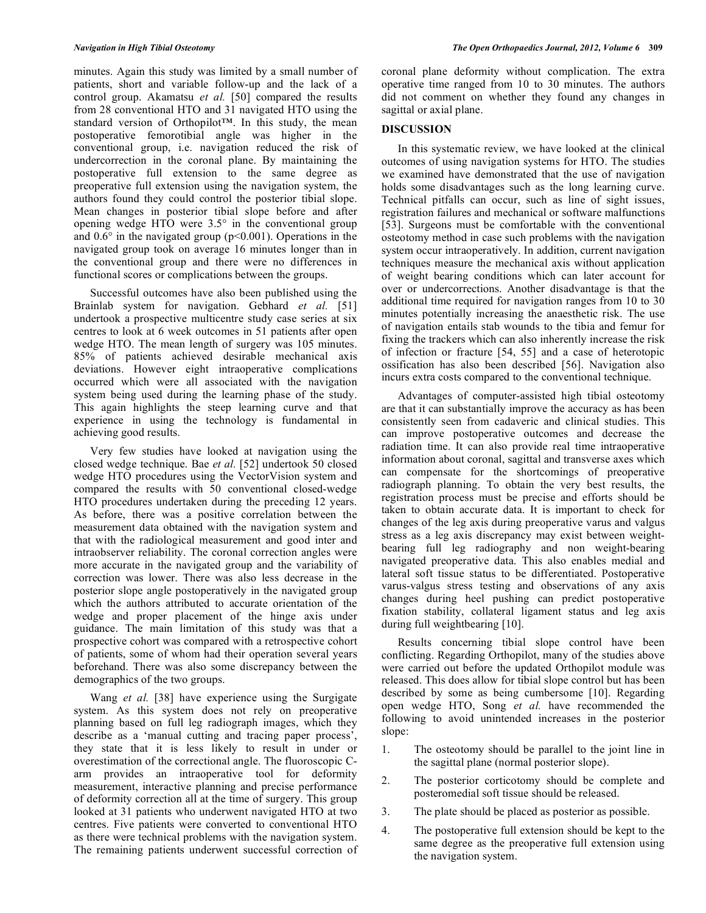minutes. Again this study was limited by a small number of patients, short and variable follow-up and the lack of a control group. Akamatsu *et al.* [50] compared the results from 28 conventional HTO and 31 navigated HTO using the standard version of Orthopilot™. In this study, the mean postoperative femorotibial angle was higher in the conventional group, i.e. navigation reduced the risk of undercorrection in the coronal plane. By maintaining the postoperative full extension to the same degree as preoperative full extension using the navigation system, the authors found they could control the posterior tibial slope. Mean changes in posterior tibial slope before and after opening wedge HTO were 3.5° in the conventional group and  $0.6^\circ$  in the navigated group ( $p<0.001$ ). Operations in the navigated group took on average 16 minutes longer than in the conventional group and there were no differences in functional scores or complications between the groups.

 Successful outcomes have also been published using the Brainlab system for navigation. Gebhard *et al.* [51] undertook a prospective multicentre study case series at six centres to look at 6 week outcomes in 51 patients after open wedge HTO. The mean length of surgery was 105 minutes. 85% of patients achieved desirable mechanical axis deviations. However eight intraoperative complications occurred which were all associated with the navigation system being used during the learning phase of the study. This again highlights the steep learning curve and that experience in using the technology is fundamental in achieving good results.

 Very few studies have looked at navigation using the closed wedge technique. Bae *et al.* [52] undertook 50 closed wedge HTO procedures using the VectorVision system and compared the results with 50 conventional closed-wedge HTO procedures undertaken during the preceding 12 years. As before, there was a positive correlation between the measurement data obtained with the navigation system and that with the radiological measurement and good inter and intraobserver reliability. The coronal correction angles were more accurate in the navigated group and the variability of correction was lower. There was also less decrease in the posterior slope angle postoperatively in the navigated group which the authors attributed to accurate orientation of the wedge and proper placement of the hinge axis under guidance. The main limitation of this study was that a prospective cohort was compared with a retrospective cohort of patients, some of whom had their operation several years beforehand. There was also some discrepancy between the demographics of the two groups.

Wang *et al.* [38] have experience using the Surgigate system. As this system does not rely on preoperative planning based on full leg radiograph images, which they describe as a 'manual cutting and tracing paper process', they state that it is less likely to result in under or overestimation of the correctional angle. The fluoroscopic Carm provides an intraoperative tool for deformity measurement, interactive planning and precise performance of deformity correction all at the time of surgery. This group looked at 31 patients who underwent navigated HTO at two centres. Five patients were converted to conventional HTO as there were technical problems with the navigation system. The remaining patients underwent successful correction of coronal plane deformity without complication. The extra operative time ranged from 10 to 30 minutes. The authors did not comment on whether they found any changes in sagittal or axial plane.

## **DISCUSSION**

 In this systematic review, we have looked at the clinical outcomes of using navigation systems for HTO. The studies we examined have demonstrated that the use of navigation holds some disadvantages such as the long learning curve. Technical pitfalls can occur, such as line of sight issues, registration failures and mechanical or software malfunctions [53]. Surgeons must be comfortable with the conventional osteotomy method in case such problems with the navigation system occur intraoperatively. In addition, current navigation techniques measure the mechanical axis without application of weight bearing conditions which can later account for over or undercorrections. Another disadvantage is that the additional time required for navigation ranges from 10 to 30 minutes potentially increasing the anaesthetic risk. The use of navigation entails stab wounds to the tibia and femur for fixing the trackers which can also inherently increase the risk of infection or fracture [54, 55] and a case of heterotopic ossification has also been described [56]. Navigation also incurs extra costs compared to the conventional technique.

 Advantages of computer-assisted high tibial osteotomy are that it can substantially improve the accuracy as has been consistently seen from cadaveric and clinical studies. This can improve postoperative outcomes and decrease the radiation time. It can also provide real time intraoperative information about coronal, sagittal and transverse axes which can compensate for the shortcomings of preoperative radiograph planning. To obtain the very best results, the registration process must be precise and efforts should be taken to obtain accurate data. It is important to check for changes of the leg axis during preoperative varus and valgus stress as a leg axis discrepancy may exist between weightbearing full leg radiography and non weight-bearing navigated preoperative data. This also enables medial and lateral soft tissue status to be differentiated. Postoperative varus-valgus stress testing and observations of any axis changes during heel pushing can predict postoperative fixation stability, collateral ligament status and leg axis during full weightbearing [10].

 Results concerning tibial slope control have been conflicting. Regarding Orthopilot, many of the studies above were carried out before the updated Orthopilot module was released. This does allow for tibial slope control but has been described by some as being cumbersome [10]. Regarding open wedge HTO, Song *et al.* have recommended the following to avoid unintended increases in the posterior slope:

- 1. The osteotomy should be parallel to the joint line in the sagittal plane (normal posterior slope).
- 2. The posterior corticotomy should be complete and posteromedial soft tissue should be released.
- 3. The plate should be placed as posterior as possible.
- 4. The postoperative full extension should be kept to the same degree as the preoperative full extension using the navigation system.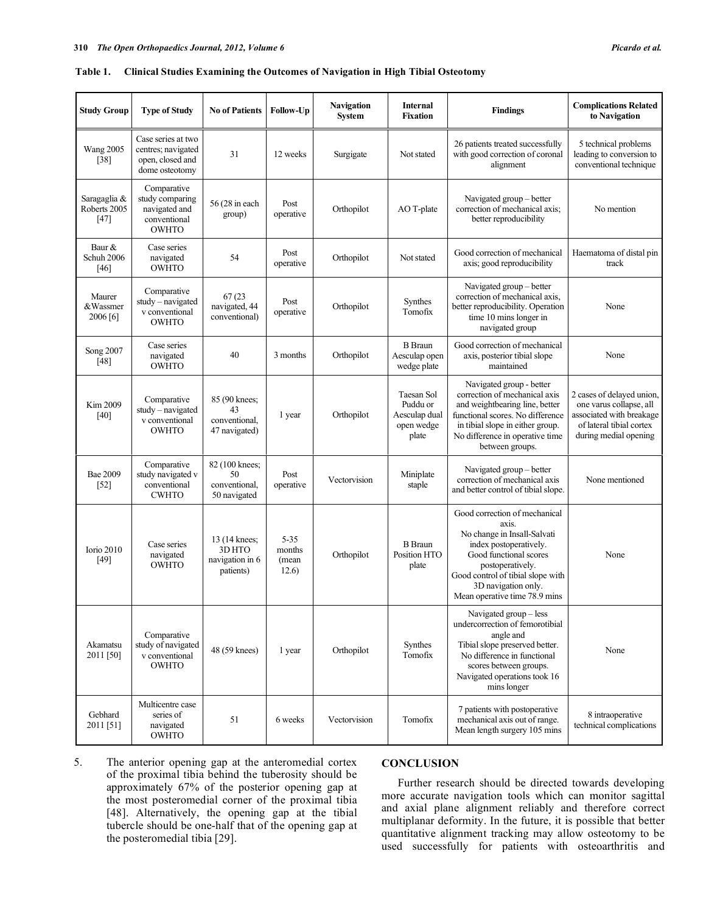# **Table 1. Clinical Studies Examining the Outcomes of Navigation in High Tibial Osteotomy**

| <b>Study Group</b>                     | <b>Type of Study</b>                                                            | <b>No of Patients</b>                                   | Follow-Up                            | <b>Navigation</b><br>System | <b>Internal</b><br><b>Fixation</b>                                    | <b>Findings</b>                                                                                                                                                                                                                            | <b>Complications Related</b><br>to Navigation                                                                                         |
|----------------------------------------|---------------------------------------------------------------------------------|---------------------------------------------------------|--------------------------------------|-----------------------------|-----------------------------------------------------------------------|--------------------------------------------------------------------------------------------------------------------------------------------------------------------------------------------------------------------------------------------|---------------------------------------------------------------------------------------------------------------------------------------|
| <b>Wang 2005</b><br>$[38]$             | Case series at two<br>centres; navigated<br>open, closed and<br>dome osteotomy  | 31                                                      | 12 weeks                             | Surgigate                   | Not stated                                                            | 26 patients treated successfully<br>with good correction of coronal<br>alignment                                                                                                                                                           | 5 technical problems<br>leading to conversion to<br>conventional technique                                                            |
| Saragaglia &<br>Roberts 2005<br>$[47]$ | Comparative<br>study comparing<br>navigated and<br>conventional<br><b>OWHTO</b> | 56 (28 in each<br>group)                                | Post<br>operative                    | Orthopilot                  | AO T-plate                                                            | Navigated group – better<br>correction of mechanical axis;<br>better reproducibility                                                                                                                                                       | No mention                                                                                                                            |
| Baur &<br>Schuh 2006<br>[46]           | Case series<br>navigated<br><b>OWHTO</b>                                        | 54                                                      | Post<br>operative                    | Orthopilot                  | Not stated                                                            | Good correction of mechanical<br>axis; good reproducibility                                                                                                                                                                                | Haematoma of distal pin<br>track                                                                                                      |
| Maurer<br>&Wassmer<br>2006[6]          | Comparative<br>study - navigated<br>v conventional<br><b>OWHTO</b>              | 67 (23<br>navigated, 44<br>conventional)                | Post<br>operative                    | Orthopilot                  | Synthes<br>Tomofix                                                    | Navigated group – better<br>correction of mechanical axis,<br>better reproducibility. Operation<br>time 10 mins longer in<br>navigated group                                                                                               | None                                                                                                                                  |
| Song 2007<br>$[48]$                    | Case series<br>navigated<br><b>OWHTO</b>                                        | 40                                                      | 3 months                             | Orthopilot                  | <b>B</b> Braun<br>Aesculap open<br>wedge plate                        | Good correction of mechanical<br>axis, posterior tibial slope<br>maintained                                                                                                                                                                | None                                                                                                                                  |
| Kim 2009<br>[40]                       | Comparative<br>study - navigated<br>v conventional<br><b>OWHTO</b>              | 85 (90 knees;<br>43<br>conventional,<br>47 navigated)   | 1 year                               | Orthopilot                  | <b>Taesan Sol</b><br>Puddu or<br>Aesculap dual<br>open wedge<br>plate | Navigated group - better<br>correction of mechanical axis<br>and weightbearing line, better<br>functional scores. No difference<br>in tibial slope in either group.<br>No difference in operative time<br>between groups.                  | 2 cases of delayed union,<br>one varus collapse, all<br>associated with breakage<br>of lateral tibial cortex<br>during medial opening |
| Bae 2009<br>$[52]$                     | Comparative<br>study navigated v<br>conventional<br><b>CWHTO</b>                | 82 (100 knees;<br>50<br>conventional,<br>50 navigated   | Post<br>operative                    | Vectorvision                | Miniplate<br>staple                                                   | Navigated group – better<br>correction of mechanical axis<br>and better control of tibial slope.                                                                                                                                           | None mentioned                                                                                                                        |
| <b>Iorio 2010</b><br>$[49]$            | Case series<br>navigated<br><b>OWHTO</b>                                        | 13 (14 knees;<br>3D HTO<br>navigation in 6<br>patients) | $5 - 35$<br>months<br>(mean<br>12.6) | Orthopilot                  | <b>B</b> Braun<br>Position HTO<br>plate                               | Good correction of mechanical<br>axis.<br>No change in Insall-Salvati<br>index postoperatively.<br>Good functional scores<br>postoperatively.<br>Good control of tibial slope with<br>3D navigation only.<br>Mean operative time 78.9 mins | None                                                                                                                                  |
| Akamatsu<br>2011 [50]                  | Comparative<br>study of navigated<br>v conventional<br>OWHTO                    | 48 (59 knees)                                           | 1 year                               | Orthopilot                  | Synthes<br>Tomofix                                                    | Navigated group - less<br>undercorrection of femorotibial<br>angle and<br>Tibial slope preserved better.<br>No difference in functional<br>scores between groups.<br>Navigated operations took 16<br>mins longer                           | None                                                                                                                                  |
| Gebhard<br>2011 [51]                   | Multicentre case<br>series of<br>navigated<br><b>OWHTO</b>                      | 51                                                      | 6 weeks                              | Vectorvision                | Tomofix                                                               | 7 patients with postoperative<br>mechanical axis out of range.<br>Mean length surgery 105 mins                                                                                                                                             | 8 intraoperative<br>technical complications                                                                                           |

5. The anterior opening gap at the anteromedial cortex of the proximal tibia behind the tuberosity should be approximately 67% of the posterior opening gap at the most posteromedial corner of the proximal tibia [48]. Alternatively, the opening gap at the tibial tubercle should be one-half that of the opening gap at the posteromedial tibia [29].

# **CONCLUSION**

 Further research should be directed towards developing more accurate navigation tools which can monitor sagittal and axial plane alignment reliably and therefore correct multiplanar deformity. In the future, it is possible that better quantitative alignment tracking may allow osteotomy to be used successfully for patients with osteoarthritis and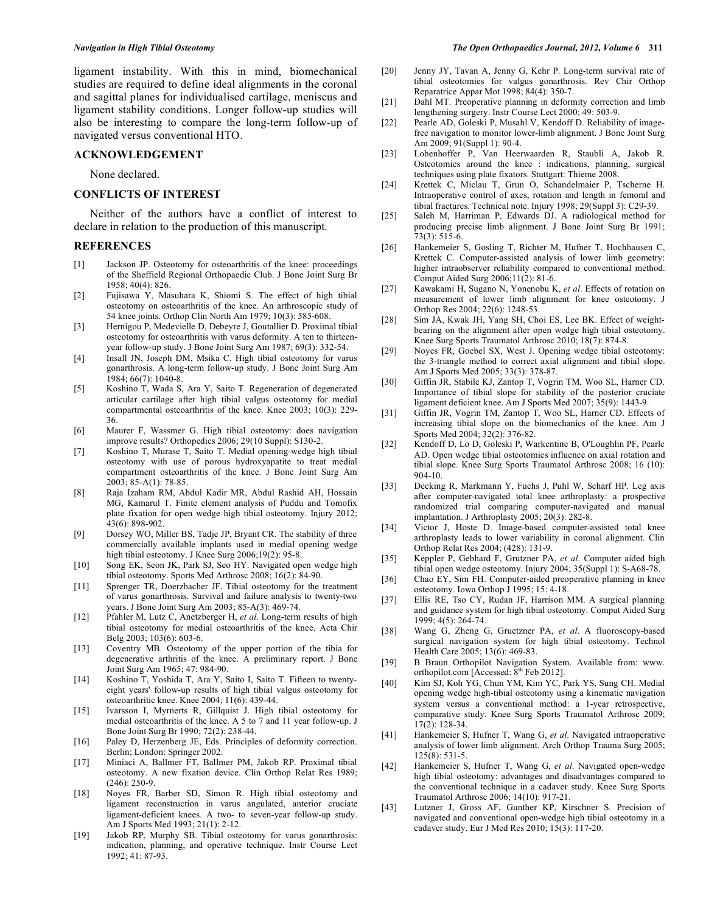ligament instability. With this in mind, biomechanical studies are required to define ideal alignments in the coronal and sagittal planes for individualised cartilage, meniscus and ligament stability conditions. Longer follow-up studies will also be interesting to compare the long-term follow-up of navigated versus conventional HTO.

# **ACKNOWLEDGEMENT**

None declared.

#### **CONFLICTS OF INTEREST**

 Neither of the authors have a conflict of interest to declare in relation to the production of this manuscript.

## **REFERENCES**

- [1] Jackson JP. Osteotomy for osteoarthritis of the knee: proceedings of the Sheffield Regional Orthopaedic Club. J Bone Joint Surg Br 1958; 40(4): 826.
- [2] Fujisawa Y, Masuhara K, Shiomi S. The effect of high tibial osteotomy on osteoarthritis of the knee. An arthroscopic study of 54 knee joints. Orthop Clin North Am 1979; 10(3): 585-608.
- [3] Hernigou P, Medevielle D, Debeyre J, Goutallier D. Proximal tibial osteotomy for osteoarthritis with varus deformity. A ten to thirteenyear follow-up study. J Bone Joint Surg Am 1987; 69(3): 332-54.
- [4] Insall JN, Joseph DM, Msika C. High tibial osteotomy for varus gonarthrosis. A long-term follow-up study. J Bone Joint Surg Am 1984; 66(7): 1040-8.
- [5] Koshino T, Wada S, Ara Y, Saito T. Regeneration of degenerated articular cartilage after high tibial valgus osteotomy for medial compartmental osteoarthritis of the knee. Knee 2003; 10(3): 229- 36.
- [6] Maurer F, Wassmer G. High tibial osteotomy: does navigation improve results? Orthopedics 2006; 29(10 Suppl): S130-2.
- [7] Koshino T, Murase T, Saito T. Medial opening-wedge high tibial osteotomy with use of porous hydroxyapatite to treat medial compartment osteoarthritis of the knee. J Bone Joint Surg Am 2003; 85-A(1): 78-85.
- [8] Raja Izaham RM, Abdul Kadir MR, Abdul Rashid AH, Hossain MG, Kamarul T. Finite element analysis of Puddu and Tomofix plate fixation for open wedge high tibial osteotomy. Injury 2012; 43(6): 898-902.
- [9] Dorsey WO, Miller BS, Tadje JP, Bryant CR. The stability of three commercially available implants used in medial opening wedge high tibial osteotomy. J Knee Surg 2006;19(2): 95-8.
- [10] Song EK, Seon JK, Park SJ, Seo HY. Navigated open wedge high tibial osteotomy. Sports Med Arthrosc 2008; 16(2): 84-90.
- [11] Sprenger TR, Doerzbacher JF. Tibial osteotomy for the treatment of varus gonarthrosis. Survival and failure analysis to twenty-two years. J Bone Joint Surg Am 2003; 85-A(3): 469-74.
- [12] Pfahler M, Lutz C, Anetzberger H, *et al*. Long-term results of high tibial osteotomy for medial osteoarthritis of the knee. Acta Chir Belg 2003; 103(6): 603-6.
- [13] Coventry MB. Osteotomy of the upper portion of the tibia for degenerative arthritis of the knee. A preliminary report. J Bone Joint Surg Am 1965; 47: 984-90.
- [14] Koshino T, Yoshida T, Ara Y, Saito I, Saito T. Fifteen to twentyeight years' follow-up results of high tibial valgus osteotomy for osteoarthritic knee. Knee 2004; 11(6): 439-44.
- [15] Ivarsson I, Myrnerts R, Gillquist J. High tibial osteotomy for medial osteoarthritis of the knee. A 5 to 7 and 11 year follow-up. J Bone Joint Surg Br 1990; 72(2): 238-44.
- [16] Paley D, Herzenberg JE, Eds. Principles of deformity correction. Berlin; London: Springer 2002.
- [17] Miniaci A, Ballmer FT, Ballmer PM, Jakob RP. Proximal tibial osteotomy. A new fixation device. Clin Orthop Relat Res 1989;  $(246): 250-9.$
- [18] Noyes FR, Barber SD, Simon R. High tibial osteotomy and ligament reconstruction in varus angulated, anterior cruciate ligament-deficient knees. A two- to seven-year follow-up study. Am J Sports Med 1993; 21(1): 2-12.
- [19] Jakob RP, Murphy SB. Tibial osteotomy for varus gonarthrosis: indication, planning, and operative technique. Instr Course Lect 1992; 41: 87-93.
- [20] Jenny JY, Tavan A, Jenny G, Kehr P. Long-term survival rate of tibial osteotomies for valgus gonarthrosis. Rev Chir Orthop Reparatrice Appar Mot 1998; 84(4): 350-7.
- [21] Dahl MT. Preoperative planning in deformity correction and limb lengthening surgery. Instr Course Lect 2000; 49: 503-9.
- [22] Pearle AD, Goleski P, Musahl V, Kendoff D. Reliability of imagefree navigation to monitor lower-limb alignment. J Bone Joint Surg Am 2009; 91(Suppl 1): 90-4.
- [23] Lobenhoffer P, Van Heerwaarden R, Staubli A, Jakob R. Osteotomies around the knee : indications, planning, surgical techniques using plate fixators. Stuttgart: Thieme 2008.
- [24] Krettek C, Miclau T, Grun O, Schandelmaier P, Tscherne H. Intraoperative control of axes, rotation and length in femoral and tibial fractures. Technical note. Injury 1998; 29(Suppl 3): C29-39.
- [25] Saleh M, Harriman P, Edwards DJ. A radiological method for producing precise limb alignment. J Bone Joint Surg Br 1991; 73(3): 515-6.
- [26] Hankemeier S, Gosling T, Richter M, Hufner T, Hochhausen C, Krettek C. Computer-assisted analysis of lower limb geometry: higher intraobserver reliability compared to conventional method. Comput Aided Surg 2006;11(2): 81-6.
- [27] Kawakami H, Sugano N, Yonenobu K, *et al*. Effects of rotation on measurement of lower limb alignment for knee osteotomy. J Orthop Res 2004; 22(6): 1248-53.
- [28] Sim JA, Kwak JH, Yang SH, Choi ES, Lee BK. Effect of weightbearing on the alignment after open wedge high tibial osteotomy. Knee Surg Sports Traumatol Arthrosc 2010; 18(7): 874-8.
- [29] Noyes FR, Goebel SX, West J. Opening wedge tibial osteotomy: the 3-triangle method to correct axial alignment and tibial slope. Am J Sports Med 2005; 33(3): 378-87.
- [30] Giffin JR, Stabile KJ, Zantop T, Vogrin TM, Woo SL, Harner CD. Importance of tibial slope for stability of the posterior cruciate ligament deficient knee. Am J Sports Med 2007; 35(9): 1443-9.
- [31] Giffin JR, Vogrin TM, Zantop T, Woo SL, Harner CD. Effects of increasing tibial slope on the biomechanics of the knee. Am J Sports Med 2004; 32(2): 376-82.
- [32] Kendoff D, Lo D, Goleski P, Warkentine B, O'Loughlin PF, Pearle AD. Open wedge tibial osteotomies influence on axial rotation and tibial slope. Knee Surg Sports Traumatol Arthrosc 2008; 16 (10): 904-10.
- [33] Decking R, Markmann Y, Fuchs J, Puhl W, Scharf HP. Leg axis after computer-navigated total knee arthroplasty: a prospective randomized trial comparing computer-navigated and manual implantation. J Arthroplasty 2005; 20(3): 282-8.
- [34] Victor J, Hoste D. Image-based computer-assisted total knee arthroplasty leads to lower variability in coronal alignment. Clin Orthop Relat Res 2004; (428): 131-9.
- [35] Keppler P, Gebhard F, Grutzner PA, *et al*. Computer aided high tibial open wedge osteotomy. Injury 2004; 35(Suppl 1): S-A68-78.
- [36] Chao EY, Sim FH. Computer-aided preoperative planning in knee osteotomy. Iowa Orthop J 1995; 15: 4-18.
- [37] Ellis RE, Tso CY, Rudan JF, Harrison MM. A surgical planning and guidance system for high tibial osteotomy. Comput Aided Surg 1999; 4(5): 264-74.
- [38] Wang G, Zheng G, Gruetzner PA, *et al*. A fluoroscopy-based surgical navigation system for high tibial osteotomy. Technol Health Care 2005; 13(6): 469-83.
- [39] B Braun Orthopilot Navigation System. Available from: www. orthopilot.com [Accessed:  $8<sup>th</sup>$  Feb 2012].
- [40] Kim SJ, Koh YG, Chun YM, Kim YC, Park YS, Sung CH. Medial opening wedge high-tibial osteotomy using a kinematic navigation system versus a conventional method: a 1-year retrospective, comparative study. Knee Surg Sports Traumatol Arthrosc 2009; 17(2): 128-34.
- [41] Hankemeier S, Hufner T, Wang G, *et al*. Navigated intraoperative analysis of lower limb alignment. Arch Orthop Trauma Surg 2005; 125(8): 531-5.
- [42] Hankemeier S, Hufner T, Wang G, *et al*. Navigated open-wedge high tibial osteotomy: advantages and disadvantages compared to the conventional technique in a cadaver study. Knee Surg Sports Traumatol Arthrosc 2006; 14(10): 917-21.
- [43] Lutzner J, Gross AF, Gunther KP, Kirschner S. Precision of navigated and conventional open-wedge high tibial osteotomy in a cadaver study. Eur J Med Res 2010; 15(3): 117-20.